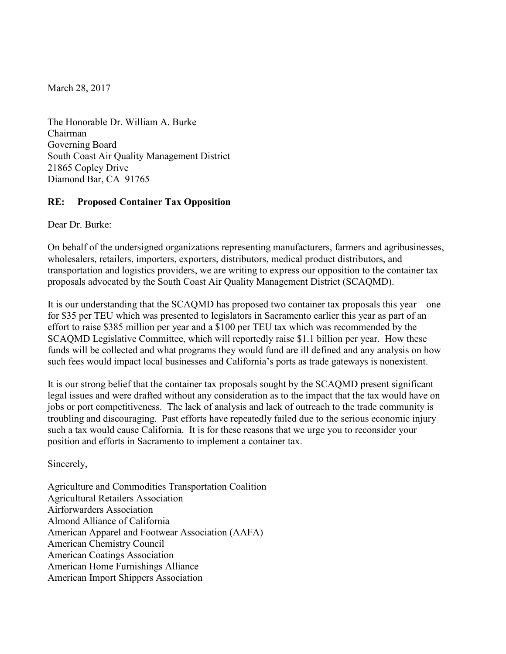March 28, 2017

The Honorable Dr. William A. Burke Chairman Governing Board South Coast Air Quality Management District 21865 Copley Drive Diamond Bar, CA 91765

## **RE: Proposed Container Tax Opposition**

Dear Dr. Burke:

On behalf of the undersigned organizations representing manufacturers, farmers and agribusinesses, wholesalers, retailers, importers, exporters, distributors, medical product distributors, and transportation and logistics providers, we are writing to express our opposition to the container tax proposals advocated by the South Coast Air Quality Management District (SCAQMD).

It is our understanding that the SCAQMD has proposed two container tax proposals this year – one for \$35 per TEU which was presented to legislators in Sacramento earlier this year as part of an effort to raise \$385 million per year and a \$100 per TEU tax which was recommended by the SCAQMD Legislative Committee, which will reportedly raise \$1.1 billion per year. How these funds will be collected and what programs they would fund are ill defined and any analysis on how such fees would impact local businesses and California's ports as trade gateways is nonexistent.

It is our strong belief that the container tax proposals sought by the SCAQMD present significant legal issues and were drafted without any consideration as to the impact that the tax would have on jobs or port competitiveness. The lack of analysis and lack of outreach to the trade community is troubling and discouraging. Past efforts have repeatedly failed due to the serious economic injury such a tax would cause California. It is for these reasons that we urge you to reconsider your position and efforts in Sacramento to implement a container tax.

Sincerely,

Agriculture and Commodities Transportation Coalition Agricultural Retailers Association Airforwarders Association Almond Alliance of California American Apparel and Footwear Association (AAFA) American Chemistry Council American Coatings Association American Home Furnishings Alliance American Import Shippers Association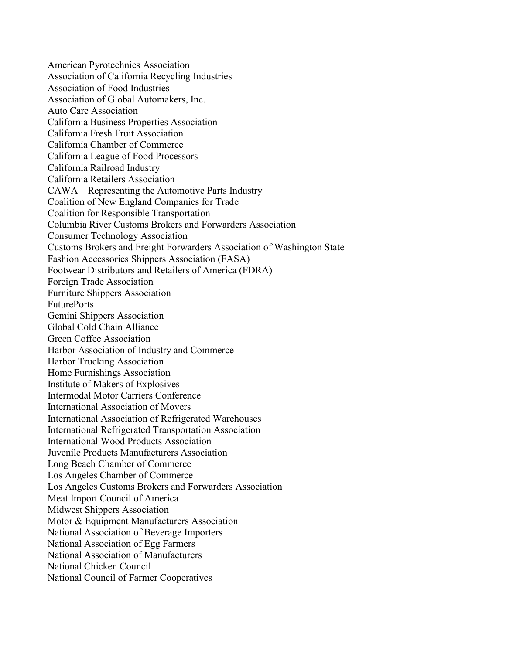American Pyrotechnics Association Association of California Recycling Industries Association of Food Industries Association of Global Automakers, Inc. Auto Care Association California Business Properties Association California Fresh Fruit Association California Chamber of Commerce California League of Food Processors California Railroad Industry California Retailers Association CAWA – Representing the Automotive Parts Industry Coalition of New England Companies for Trade Coalition for Responsible Transportation Columbia River Customs Brokers and Forwarders Association Consumer Technology Association Customs Brokers and Freight Forwarders Association of Washington State Fashion Accessories Shippers Association (FASA) Footwear Distributors and Retailers of America (FDRA) Foreign Trade Association Furniture Shippers Association FuturePorts Gemini Shippers Association Global Cold Chain Alliance Green Coffee Association Harbor Association of Industry and Commerce Harbor Trucking Association Home Furnishings Association Institute of Makers of Explosives Intermodal Motor Carriers Conference International Association of Movers International Association of Refrigerated Warehouses International Refrigerated Transportation Association International Wood Products Association Juvenile Products Manufacturers Association Long Beach Chamber of Commerce Los Angeles Chamber of Commerce Los Angeles Customs Brokers and Forwarders Association Meat Import Council of America Midwest Shippers Association Motor & Equipment Manufacturers Association National Association of Beverage Importers National Association of Egg Farmers National Association of Manufacturers National Chicken Council National Council of Farmer Cooperatives